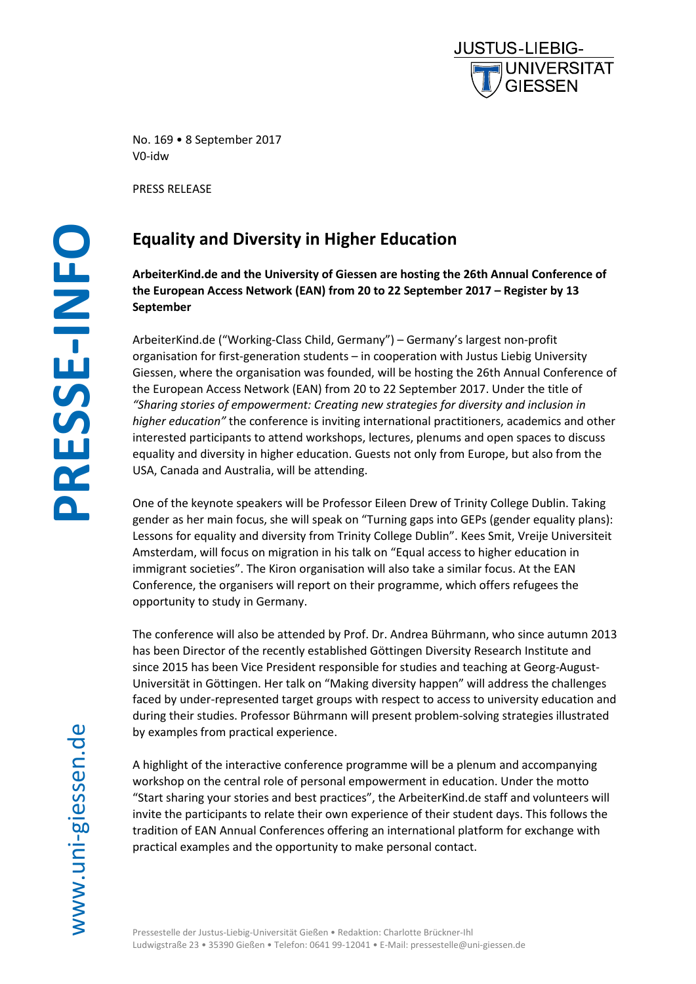

No. 169 • 8 September 2017 V0-idw

PRESS RELEASE

# -giessen.de **PRESSE -INFO**

# **Equality and Diversity in Higher Education**

**ArbeiterKind.de and the University of Giessen are hosting the 26th Annual Conference of the European Access Network (EAN) from 20 to 22 September 2017 – Register by 13 September**

ArbeiterKind.de ("Working-Class Child, Germany") – Germany's largest non-profit organisation for first-generation students – in cooperation with Justus Liebig University Giessen, where the organisation was founded, will be hosting the 26th Annual Conference of the European Access Network (EAN) from 20 to 22 September 2017. Under the title of *"Sharing stories of empowerment: Creating new strategies for diversity and inclusion in higher education"* the conference is inviting international practitioners, academics and other interested participants to attend workshops, lectures, plenums and open spaces to discuss equality and diversity in higher education. Guests not only from Europe, but also from the USA, Canada and Australia, will be attending.

One of the keynote speakers will be Professor Eileen Drew of Trinity College Dublin. Taking gender as her main focus, she will speak on "Turning gaps into GEPs (gender equality plans): Lessons for equality and diversity from Trinity College Dublin". Kees Smit, Vreije Universiteit Amsterdam, will focus on migration in his talk on "Equal access to higher education in immigrant societies". The Kiron organisation will also take a similar focus. At the EAN Conference, the organisers will report on their programme, which offers refugees the opportunity to study in Germany.

The conference will also be attended by Prof. Dr. Andrea Bührmann, who since autumn 2013 has been Director of the recently established Göttingen Diversity Research Institute and since 2015 has been Vice President responsible for studies and teaching at Georg-August-Universität in Göttingen. Her talk on "Making diversity happen" will address the challenges faced by under-represented target groups with respect to access to university education and during their studies. Professor Bührmann will present problem-solving strategies illustrated by examples from practical experience.

A highlight of the interactive conference programme will be a plenum and accompanying workshop on the central role of personal empowerment in education. Under the motto "Start sharing your stories and best practices", the ArbeiterKind.de staff and volunteers will invite the participants to relate their own experience of their student days. This follows the tradition of EAN Annual Conferences offering an international platform for exchange with practical examples and the opportunity to make personal contact.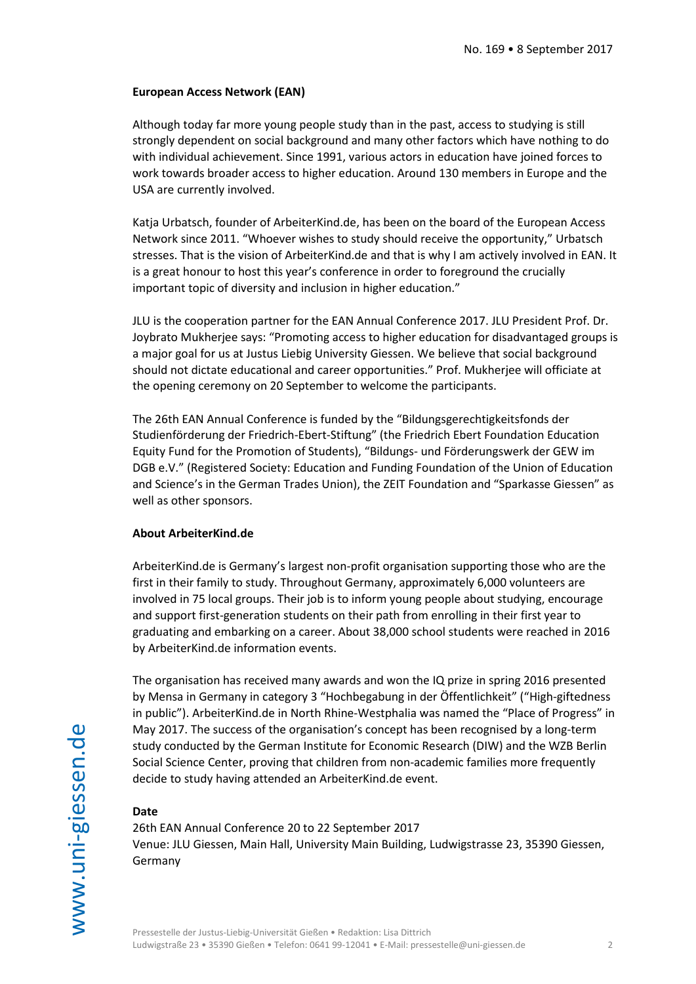### **European Access Network (EAN)**

Although today far more young people study than in the past, access to studying is still strongly dependent on social background and many other factors which have nothing to do with individual achievement. Since 1991, various actors in education have joined forces to work towards broader access to higher education. Around 130 members in Europe and the USA are currently involved.

Katja Urbatsch, founder of ArbeiterKind.de, has been on the board of the European Access Network since 2011. "Whoever wishes to study should receive the opportunity," Urbatsch stresses. That is the vision of ArbeiterKind.de and that is why I am actively involved in EAN. It is a great honour to host this year's conference in order to foreground the crucially important topic of diversity and inclusion in higher education."

JLU is the cooperation partner for the EAN Annual Conference 2017. JLU President Prof. Dr. Joybrato Mukherjee says: "Promoting access to higher education for disadvantaged groups is a major goal for us at Justus Liebig University Giessen. We believe that social background should not dictate educational and career opportunities." Prof. Mukherjee will officiate at the opening ceremony on 20 September to welcome the participants.

The 26th EAN Annual Conference is funded by the "Bildungsgerechtigkeitsfonds der Studienförderung der Friedrich-Ebert-Stiftung" (the Friedrich Ebert Foundation Education Equity Fund for the Promotion of Students), "Bildungs- und Förderungswerk der GEW im DGB e.V." (Registered Society: Education and Funding Foundation of the Union of Education and Science's in the German Trades Union), the ZEIT Foundation and "Sparkasse Giessen" as well as other sponsors.

### **About ArbeiterKind.de**

ArbeiterKind.de is Germany's largest non-profit organisation supporting those who are the first in their family to study. Throughout Germany, approximately 6,000 volunteers are involved in 75 local groups. Their job is to inform young people about studying, encourage and support first-generation students on their path from enrolling in their first year to graduating and embarking on a career. About 38,000 school students were reached in 2016 by ArbeiterKind.de information events.

The organisation has received many awards and won the IQ prize in spring 2016 presented by Mensa in Germany in category 3 "Hochbegabung in der Öffentlichkeit" ("High-giftedness in public"). ArbeiterKind.de in North Rhine-Westphalia was named the "Place of Progress" in May 2017. The success of the organisation's concept has been recognised by a long-term study conducted by the German Institute for Economic Research (DIW) and the WZB Berlin Social Science Center, proving that children from non-academic families more frequently decide to study having attended an ArbeiterKind.de event.

### **Date**

26th EAN Annual Conference 20 to 22 September 2017 Venue: JLU Giessen, Main Hall, University Main Building, Ludwigstrasse 23, 35390 Giessen, Germany